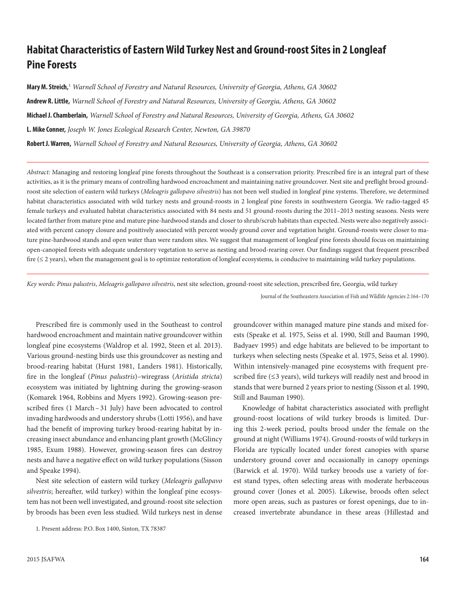# **Habitat Characteristics of Eastern Wild Turkey Nest and Ground-roost Sites in 2 Longleaf Pine Forests**

**Mary M. Streich,**<sup>1</sup>  *Warnell School of Forestry and Natural Resources, University of Georgia, Athens, GA 30602* **Andrew R. Little,** *Warnell School of Forestry and Natural Resources, University of Georgia, Athens, GA 30602* **Michael J. Chamberlain,** *Warnell School of Forestry and Natural Resources, University of Georgia, Athens, GA 30602* **L. Mike Conner,** *Joseph W. Jones Ecological Research Center, Newton, GA 39870* **Robert J. Warren,** *Warnell School of Forestry and Natural Resources, University of Georgia, Athens, GA 30602*

*Abstract:* Managing and restoring longleaf pine forests throughout the Southeast is a conservation priority. Prescribed fire is an integral part of these activities, as it is the primary means of controlling hardwood encroachment and maintaining native groundcover. Nest site and preflight brood groundroost site selection of eastern wild turkeys (*Meleagris gallopavo silvestris*) has not been well studied in longleaf pine systems. Therefore, we determined habitat characteristics associated with wild turkey nests and ground-roosts in 2 longleaf pine forests in southwestern Georgia. We radio-tagged 45 female turkeys and evaluated habitat characteristics associated with 84 nests and 51 ground-roosts during the 2011–2013 nesting seasons. Nests were located farther from mature pine and mature pine-hardwood stands and closer to shrub/scrub habitats than expected. Nests were also negatively associated with percent canopy closure and positively associated with percent woody ground cover and vegetation height. Ground-roosts were closer to mature pine-hardwood stands and open water than were random sites. We suggest that management of longleaf pine forests should focus on maintaining open-canopied forests with adequate understory vegetation to serve as nesting and brood-rearing cover. Our findings suggest that frequent prescribed fire ( $\leq$  2 years), when the management goal is to optimize restoration of longleaf ecosystems, is conducive to maintaining wild turkey populations.

*Key words: Pinus palustris*, *Meleagris gallopavo silvestris*, nest site selection, ground-roost site selection, prescribed fire, Georgia, wild turkey

Journal of the Southeastern Association of Fish and Wildlife Agencies 2:164–170

Prescribed fire is commonly used in the Southeast to control hardwood encroachment and maintain native groundcover within longleaf pine ecosystems (Waldrop et al. 1992, Steen et al. 2013). Various ground-nesting birds use this groundcover as nesting and brood-rearing habitat (Hurst 1981, Landers 1981). Historically, fire in the longleaf (*Pinus palustris*)–wiregrass (*Aristida stricta*) ecosystem was initiated by lightning during the growing-season (Komarek 1964, Robbins and Myers 1992). Growing-season prescribed fires (1 March–31 July) have been advocated to control invading hardwoods and understory shrubs (Lotti 1956), and have had the benefit of improving turkey brood-rearing habitat by increasing insect abundance and enhancing plant growth (McGlincy 1985, Exum 1988). However, growing-season fires can destroy nests and have a negative effect on wild turkey populations (Sisson and Speake 1994).

Nest site selection of eastern wild turkey (*Meleagris gallopavo silvestris*; hereafter, wild turkey) within the longleaf pine ecosystem has not been well investigated, and ground-roost site selection by broods has been even less studied. Wild turkeys nest in dense

1. Present address: P.O. Box 1400, Sinton, TX 78387

groundcover within managed mature pine stands and mixed forests (Speake et al. 1975, Seiss et al. 1990, Still and Bauman 1990, Badyaev 1995) and edge habitats are believed to be important to turkeys when selecting nests (Speake et al. 1975, Seiss et al. 1990). Within intensively-managed pine ecosystems with frequent prescribed fire (≤3 years), wild turkeys will readily nest and brood in stands that were burned 2 years prior to nesting (Sisson et al. 1990, Still and Bauman 1990).

Knowledge of habitat characteristics associated with preflight ground-roost locations of wild turkey broods is limited. During this 2-week period, poults brood under the female on the ground at night (Williams 1974). Ground-roosts of wild turkeys in Florida are typically located under forest canopies with sparse understory ground cover and occasionally in canopy openings (Barwick et al. 1970). Wild turkey broods use a variety of forest stand types, often selecting areas with moderate herbaceous ground cover (Jones et al. 2005). Likewise, broods often select more open areas, such as pastures or forest openings, due to increased invertebrate abundance in these areas (Hillestad and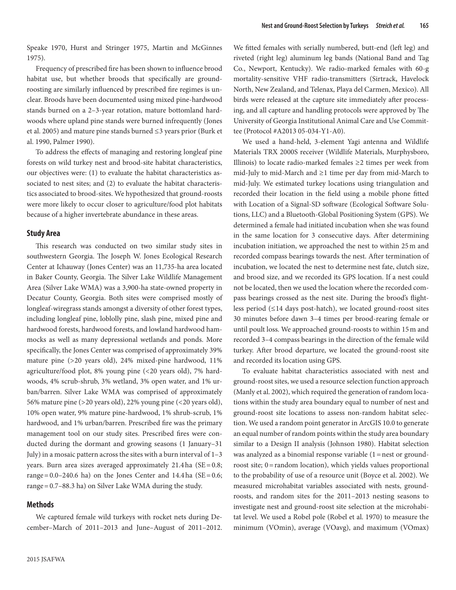Speake 1970, Hurst and Stringer 1975, Martin and McGinnes 1975).

Frequency of prescribed fire has been shown to influence brood habitat use, but whether broods that specifically are groundroosting are similarly influenced by prescribed fire regimes is unclear. Broods have been documented using mixed pine-hardwood stands burned on a 2–3-year rotation, mature bottomland hardwoods where upland pine stands were burned infrequently (Jones et al. 2005) and mature pine stands burned ≤3 years prior (Burk et al. 1990, Palmer 1990).

To address the effects of managing and restoring longleaf pine forests on wild turkey nest and brood-site habitat characteristics, our objectives were: (1) to evaluate the habitat characteristics associated to nest sites; and (2) to evaluate the habitat characteristics associated to brood-sites. We hypothesized that ground-roosts were more likely to occur closer to agriculture/food plot habitats because of a higher invertebrate abundance in these areas.

### **Study Area**

This research was conducted on two similar study sites in southwestern Georgia. The Joseph W. Jones Ecological Research Center at Ichauway (Jones Center) was an 11,735-ha area located in Baker County, Georgia. The Silver Lake Wildlife Management Area (Silver Lake WMA) was a 3,900-ha state-owned property in Decatur County, Georgia. Both sites were comprised mostly of longleaf-wiregrass stands amongst a diversity of other forest types, including longleaf pine, loblolly pine, slash pine, mixed pine and hardwood forests, hardwood forests, and lowland hardwood hammocks as well as many depressional wetlands and ponds. More specifically, the Jones Center was comprised of approximately 39% mature pine (>20 years old), 24% mixed-pine hardwood, 11% agriculture/food plot, 8% young pine (<20 years old), 7% hardwoods, 4% scrub-shrub, 3% wetland, 3% open water, and 1% urban/barren. Silver Lake WMA was comprised of approximately 56% mature pine (>20 years old), 22% young pine (<20 years old), 10% open water, 9% mature pine-hardwood, 1% shrub-scrub, 1% hardwood, and 1% urban/barren. Prescribed fire was the primary management tool on our study sites. Prescribed fires were conducted during the dormant and growing seasons (1 January–31 July) in a mosaic pattern across the sites with a burn interval of 1–3 years. Burn area sizes averaged approximately  $21.4$ ha (SE=0.8; range=0.0–240.6 ha) on the Jones Center and  $14.4$  ha (SE=0.6; range=0.7–88.3 ha) on Silver Lake WMA during the study.

## **Methods**

We captured female wild turkeys with rocket nets during December–March of 2011–2013 and June–August of 2011–2012. We fitted females with serially numbered, butt-end (left leg) and riveted (right leg) aluminum leg bands (National Band and Tag Co., Newport, Kentucky). We radio-marked females with 60-g mortality-sensitive VHF radio-transmitters (Sirtrack, Havelock North, New Zealand, and Telenax, Playa del Carmen, Mexico). All birds were released at the capture site immediately after processing, and all capture and handling protocols were approved by The University of Georgia Institutional Animal Care and Use Committee (Protocol #A2013 05-034-Y1-A0).

We used a hand-held, 3-element Yagi antenna and Wildlife Materials TRX 2000S receiver (Wildlife Materials, Murphysboro, Illinois) to locate radio-marked females ≥2 times per week from mid-July to mid-March and ≥1 time per day from mid-March to mid-July. We estimated turkey locations using triangulation and recorded their location in the field using a mobile phone fitted with Location of a Signal-SD software (Ecological Software Solutions, LLC) and a Bluetooth-Global Positioning System (GPS). We determined a female had initiated incubation when she was found in the same location for 3 consecutive days. After determining incubation initiation, we approached the nest to within 25m and recorded compass bearings towards the nest. After termination of incubation, we located the nest to determine nest fate, clutch size, and brood size, and we recorded its GPS location. If a nest could not be located, then we used the location where the recorded compass bearings crossed as the nest site. During the brood's flightless period (≤14 days post-hatch), we located ground-roost sites 30 minutes before dawn 3–4 times per brood-rearing female or until poult loss. We approached ground-roosts to within 15m and recorded 3–4 compass bearings in the direction of the female wild turkey. After brood departure, we located the ground-roost site and recorded its location using GPS.

To evaluate habitat characteristics associated with nest and ground-roost sites, we used a resource selection function approach (Manly et al. 2002), which required the generation of random locations within the study area boundary equal to number of nest and ground-roost site locations to assess non-random habitat selection. We used a random point generator in ArcGIS 10.0 to generate an equal number of random points within the study area boundary similar to a Design II analysis (Johnson 1980). Habitat selection was analyzed as a binomial response variable (1 = nest or groundroost site; 0=random location), which yields values proportional to the probability of use of a resource unit (Boyce et al. 2002). We measured microhabitat variables associated with nests, groundroosts, and random sites for the 2011–2013 nesting seasons to investigate nest and ground-roost site selection at the microhabitat level. We used a Robel pole (Robel et al. 1970) to measure the minimum (VOmin), average (VOavg), and maximum (VOmax)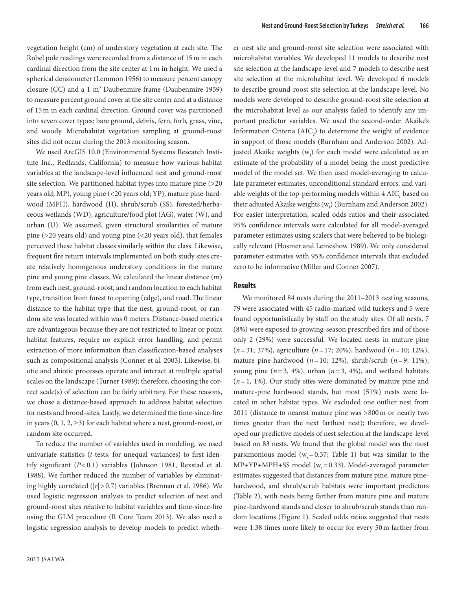vegetation height (cm) of understory vegetation at each site. The Robel pole readings were recorded from a distance of 15m in each cardinal direction from the site center at 1m in height. We used a spherical densiometer (Lemmon 1956) to measure percent canopy closure (CC) and a 1-m2 Daubenmire frame (Daubenmire 1959) to measure percent ground cover at the site center and at a distance of 15m in each cardinal direction. Ground cover was partitioned into seven cover types: bare ground, debris, fern, forb, grass, vine, and woody. Microhabitat vegetation sampling at ground-roost sites did not occur during the 2013 monitoring season.

We used ArcGIS 10.0 (Environmental Systems Research Institute Inc., Redlands, California) to measure how various habitat variables at the landscape-level influenced nest and ground-roost site selection. We partitioned habitat types into mature pine (>20 years old; MP), young pine (<20 years old; YP), mature pine-hardwood (MPH), hardwood (H), shrub/scrub (SS), forested/herbaceous wetlands (WD), agriculture/food plot (AG), water (W), and urban (U). We assumed, given structural similarities of mature pine (>20 years old) and young pine (<20 years old), that females perceived these habitat classes similarly within the class. Likewise, frequent fire return intervals implemented on both study sites create relatively homogenous understory conditions in the mature pine and young pine classes. We calculated the linear distance (m) from each nest, ground-roost, and random location to each habitat type, transition from forest to opening (edge), and road. The linear distance to the habitat type that the nest, ground-roost, or random site was located within was 0 meters. Distance-based metrics are advantageous because they are not restricted to linear or point habitat features, require no explicit error handling, and permit extraction of more information than classification-based analyses such as compositional analysis (Conner et al. 2003). Likewise, biotic and abiotic processes operate and interact at multiple spatial scales on the landscape (Turner 1989); therefore, choosing the correct scale(s) of selection can be fairly arbitrary. For these reasons, we chose a distance-based approach to address habitat selection for nests and brood-sites. Lastly, we determined the time-since-fire in years  $(0, 1, 2, \ge 3)$  for each habitat where a nest, ground-roost, or random site occurred.

To reduce the number of variables used in modeling, we used univariate statistics (*t*-tests, for unequal variances) to first identify significant (*P*<0.1) variables (Johnson 1981, Rexstad et al. 1988). We further reduced the number of variables by eliminating highly correlated (|*r*|>0.7) variables (Brennan et al. 1986). We used logistic regression analysis to predict selection of nest and ground-roost sites relative to habitat variables and time-since-fire using the GLM procedure (R Core Team 2013). We also used a logistic regression analysis to develop models to predict wheth-

er nest site and ground-roost site selection were associated with microhabitat variables. We developed 11 models to describe nest site selection at the landscape-level and 7 models to describe nest site selection at the microhabitat level. We developed 6 models to describe ground-roost site selection at the landscape-level. No models were developed to describe ground-roost site selection at the microhabitat level as our analysis failed to identify any important predictor variables. We used the second-order Akaike's Information Criteria (AIC<sub>c</sub>) to determine the weight of evidence in support of those models (Burnham and Anderson 2002). Adjusted Akaike weights (w*<sup>i</sup>* ) for each model were calculated as an estimate of the probability of a model being the most predictive model of the model set. We then used model-averaging to calculate parameter estimates, unconditional standard errors, and variable weights of the top-performing models within 4  $\mathrm{AIC}_c$  based on their adjustedAkaike weights (w*<sup>i</sup>* ) (Burnham and Anderson 2002). For easier interpretation, scaled odds ratios and their associated 95% confidence intervals were calculated for all model-averaged parameter estimates using scalers that were believed to be biologically relevant (Hosmer and Lemeshow 1989). We only considered parameter estimates with 95% confidence intervals that excluded zero to be informative (Miller and Conner 2007).

#### **Results**

We monitored 84 nests during the 2011–2013 nesting seasons, 79 were associated with 45 radio-marked wild turkeys and 5 were found opportunistically by staff on the study sites. Of all nests, 7 (8%) were exposed to growing-season prescribed fire and of those only 2 (29%) were successful. We located nests in mature pine (*n*=31; 37%), agriculture (*n*=17; 20%), hardwood (*n*=10; 12%), mature pine-hardwood (*n*=10; 12%), shrub/scrub (*n*=9; 11%), young pine  $(n=3, 4\%)$ , urban  $(n=3, 4\%)$ , and wetland habitats (*n*=1, 1%). Our study sites were dominated by mature pine and mature-pine hardwood stands, but most (51%) nests were located in other habitat types. We excluded one outlier nest from 2011 (distance to nearest mature pine was >800m or nearly two times greater than the next farthest nest); therefore, we developed our predictive models of nest selection at the landscape-level based on 83 nests. We found that the global model was the most parsimonious model ( $w_i$ =0.37; Table 1) but was similar to the MP+YP+MPH+SS model (w*i*=0.33). Model-averaged parameter estimates suggested that distances from mature pine, mature pinehardwood, and shrub/scrub habitats were important predictors (Table 2), with nests being farther from mature pine and mature pine-hardwood stands and closer to shrub/scrub stands than random locations (Figure 1). Scaled odds ratios suggested that nests were 1.38 times more likely to occur for every 50m farther from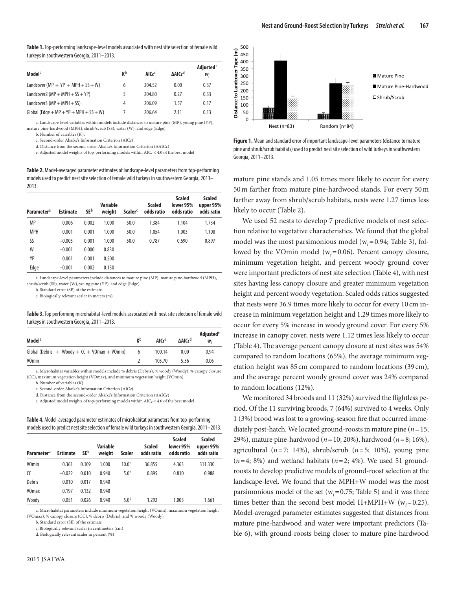|                                                 |                |                             |               | Adjusted <sup>e</sup><br>W, |  |
|-------------------------------------------------|----------------|-----------------------------|---------------|-----------------------------|--|
| Model <sup>a</sup>                              | K <sub>p</sub> | AIC $\epsilon$ <sup>C</sup> | <b>AAICcd</b> |                             |  |
| Landcover (MP + $YP$ + MPH + SS + W)            | 6              | 204.52                      | 0.00          | 0.37                        |  |
| Landcover2 ( $MP + MPH + SS + YP$ )             |                | 204.80                      | 0.27          | 0.33                        |  |
| Landcover3 ( $MP + MPH + SS$ )                  | 4              | 206.09                      | 1.57          | 0.17                        |  |
| Global (Edge + $MP$ + $YP$ + $MPH$ + $SS + W$ ) |                | 206.64                      | 2.11          | 0.13                        |  |

a. Landscape-level variables within models include distances to mature pine (MP), young pine (YP), mature pine-hardwood (MPH), shrub/scrub (SS), water (W), and edge (Edge)

b. Number of variables (*K*).

c. Second-order Akaike's Information Criterion (AIC*c*)

d. Distance from the second-order Akaike's Information Criterion (∆AIC*c*)

e. Adjusted model weights of top-performing models within AIC*c* < 4.0 of the best model

**Table 2.** Model-averaged parameter estimates of landscape-level parameters from top-performing models used to predict nest site selection of female wild turkeys in southwestern Georgia, 2011– 2013.

| <b>Parameter</b> <sup>a</sup> | <b>Estimate</b> | <b>SE</b> b | Variable<br>weight | Scaler <sup>c</sup> | <b>Scaled</b><br>odds ratio | <b>Scaled</b><br>lower 95%<br>odds ratio | <b>Scaled</b><br>upper 95%<br>odds ratio |
|-------------------------------|-----------------|-------------|--------------------|---------------------|-----------------------------|------------------------------------------|------------------------------------------|
| <b>MP</b>                     | 0.006           | 0.002       | 1.000              | 50.0                | 1.384                       | 1.104                                    | 1.734                                    |
| <b>MPH</b>                    | 0.001           | 0.001       | 1.000              | 50.0                | 1.054                       | 1.003                                    | 1.108                                    |
| SS                            | $-0.005$        | 0.001       | 1.000              | 50.0                | 0.787                       | 0.690                                    | 0.897                                    |
| W                             | $-0.001$        | 0.000       | 0.830              |                     |                             |                                          |                                          |
| YP                            | 0.001           | 0.001       | 0.500              |                     |                             |                                          |                                          |
| Edge                          | $-0.001$        | 0.002       | 0.130              |                     |                             |                                          |                                          |

a. Landscape-level parameters include distances to mature pine (MP), mature pine-hardwood (MPH), shrub/scrub (SS), water (W), young pine (YP), and edge (Edge)

b. Standard error (SE) of the estimate.

c. Biologically relevant scaler in meters (m).

**Table 3.** Top performing microhabitat-level models associated with nest site selection of female wild turkeys in southwestern Georgia, 2011–2013.

| Model <sup>a</sup>                              | <b>K</b> <sub>p</sub> | AICC <sup>C</sup> | ΔAIC <sub>c</sub> <sup>d</sup> | Adjusted <sup>e</sup><br>$W_{i}$ |
|-------------------------------------------------|-----------------------|-------------------|--------------------------------|----------------------------------|
| Global (Debris + Woody + $CC + V0$ max + V0min) | b                     | 100.14            | 0.00                           | 0.94                             |
| <b>VOmin</b>                                    |                       | 105.70            | 5.56                           | 0.06                             |

a. Microhabitat variables within models include % debris (Debris), % woody (Woody), % canopy closure (CC), maximum vegetation height (VOmax), and minimum vegetation height (VOmin).

b. Number of variables (*K*)

c. Second-order Akaike's Information Criterion (AIC*c*)

d. Distance from the second-order Akaike's Information Criterion (∆AIC*c*)

e. Adjusted model weights of top-performing models within AIC*c* < 4.0 of the best model

**Table 4.** Model-averaged parameter estimates of microhabitat parameters from top-performing models used to predict nest site selection of female wild turkeys in southwestern Georgia, 2011–2013.

| <b>Parameter</b> <sup>a</sup> | <b>Estimate</b> | <b>SE</b> <sup>b</sup> | Variable<br>weight | Scaler            | <b>Scaled</b><br>odds ratio | <b>Scaled</b><br>lower 95%<br>odds ratio | <b>Scaled</b><br>upper 95%<br>odds ratio |
|-------------------------------|-----------------|------------------------|--------------------|-------------------|-----------------------------|------------------------------------------|------------------------------------------|
| <b>VOmin</b>                  | 0.361           | 0.109                  | 1.000              | 10.0 <sup>c</sup> | 36.855                      | 4.363                                    | 311.330                                  |
| CC                            | $-0.022$        | 0.010                  | 0.940              | 5.0 <sup>d</sup>  | 0.895                       | 0.810                                    | 0.988                                    |
| Debris                        | 0.010           | 0.017                  | 0.940              |                   |                             |                                          |                                          |
| <b>VOmax</b>                  | 0.197           | 0.132                  | 0.940              |                   |                             |                                          |                                          |
| Woody                         | 0.051           | 0.026                  | 0.940              | 5.0 <sup>d</sup>  | 1.292                       | 1.005                                    | 1.661                                    |

a. Microhabitat parameters include minimum vegetation height (VOmin), maximum vegetation height (VOmax), % canopy closure (CC), % debris (Debris), and % woody (Woody).

b. Standard error (SE) of the estimate

c. Biologically relevant scaler in centimeters (cm)

d. Biologically relevant scaler in percent (%)



**Figure 1.** Mean and standard error of important landscape-level parameters (distance to mature in the state of the state of the state of the state of the state of the state of the state of the state of the state of the st pine and shrub/scrub habitats) used to predict nest site selection of wild turkeys in southwestern Georgia, 2011–2013.

mature pine stands and 1.05 times more likely to occur for every 50 m farther from mature pine-hardwood stands. For every 50 m farther away from shrub/scrub habitats, nests were 1.27 times less likely to occur (Table 2). **Distance 
 to 
 Landcover 
 Type 
 (m)** 

We used 52 nests to develop 7 predictive models of nest selection relative to vegetative characteristics. We found that the global model was the most parsimonious model  $(w<sub>i</sub>=0.94; Table 3)$ , followed by the VOmin model (w*i*=0.06). Percent canopy closure, minimum vegetation height, and percent woody ground cover were important predictors of nest site selection (Table 4), with nest sites having less canopy closure and greater minimum vegetation height and percent woody vegetation. Scaled odds ratios suggested that nests were 36.9 times more likely to occur for every 10 cm increase in minimum vegetation height and 1.29 times more likely to occur for every 5% increase in woody ground cover. For every 5% increase in canopy cover, nests were 1.12 times less likely to occur (Table 4). The average percent canopy closure at nest sites was 54% compared to random locations (65%), the average minimum vegetation height was 85 cm compared to random locations (39 cm), and the average percent woody ground cover was 24% compared to random locations (12%). 200 

We monitored 34 broods and 11 (32%) survived the flightless period. Of the 11 surviving broods, 7 (64%) survived to 4 weeks. Only 1 (3%) brood was lost to a growing-season fire that occurred immediately post-hatch. We located ground-roosts in mature pine (*n*=15; 29%), mature pine-hardwood (*n*=10; 20%), hardwood (*n*=8; 16%), agricultural (*n*=7; 14%), shrub/scrub (*n*=5; 10%), young pine  $(n=4; 8\%)$  and wetland habitats  $(n=2; 4\%)$ . We used 51 groundroosts to develop predictive models of ground-roost selection at the landscape-level. We found that the MPH+W model was the most parsimonious model of the set ( $w_i$ =0.75; Table 5) and it was three times better than the second best model  $H+MPH+W$  ( $w_i=0.25$ ). Model-averaged parameter estimates suggested that distances from mature pine-hardwood and water were important predictors (Table 6), with ground-roosts being closer to mature pine-hardwood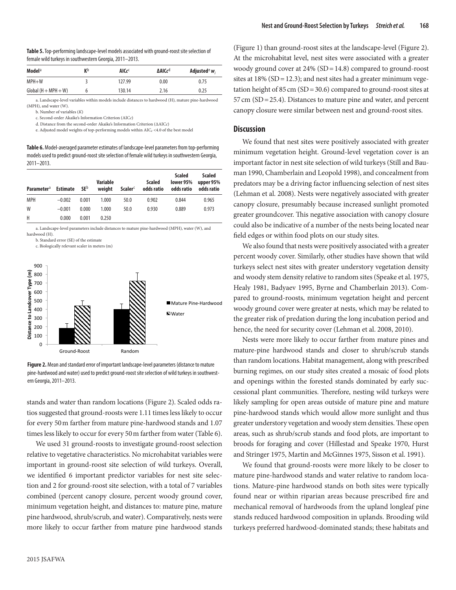| <b>Table 5.</b> Top-performing landscape-level models associated with ground-roost site selection of | $(1)$ guit $1)$ |
|------------------------------------------------------------------------------------------------------|-----------------|
| female wild turkeys in southwestern Georgia, 2011-2013.                                              | At the mi       |

| Model <sup>a</sup>     | K <sub>p</sub> | AICc <sup>C</sup> | ΔAIC <sub>c</sub> <sup>d</sup> | Adjusted <sup>e</sup> $w_i$ | woody gro    |
|------------------------|----------------|-------------------|--------------------------------|-----------------------------|--------------|
| $MPH+W$                |                | 127.99            | 0.00                           | 0.75                        | sites at 189 |
| $Global (H + MPH + W)$ |                | 130.14            | 2.16                           | 0.25                        | tation heig  |

a. Landscape-level variables within models include distances to hardwood (H), mature pine-hardwood 57 cm (SD (MPH), and water (W).  $\lim_{k \to \infty} \lim_{k \to \infty} \lim_{k \to \infty} \lim_{k \to \infty} \lim_{k \to \infty} \lim_{k \to \infty} \lim_{k \to \infty} \lim_{k \to \infty} \lim_{k \to \infty} \lim_{k \to \infty} \lim_{k \to \infty} \lim_{k \to \infty} \lim_{k \to \infty} \lim_{k \to \infty} \lim_{k \to \infty} \lim_{k \to \infty} \lim_{k \to \infty} \lim_{k \to \infty} \lim_{k \to \infty} \lim_{k \to \infty} \lim_{k \to \infty} \lim_{k \to \infty}$ 

c. Second-order Akaike's Information Criterion (AIC*c*)

d. Distance from the second-order Akaike's Information Criterion (∆AIC*c*) e. Adjusted model weights of top-performing models within AIC*c* <4.0 of the best model

**Table 6.** Model-averaged parameter estimates of landscape-level parameters from top-performing models used to predict ground-roost site selection of female wild turkeys in southwestern Georgia, 500 
 2011–2013.

| $2011 - 2013$ .               |                 |             |                           |                     |                             |                                          |                                   |
|-------------------------------|-----------------|-------------|---------------------------|---------------------|-----------------------------|------------------------------------------|-----------------------------------|
| <b>Parameter</b> <sup>a</sup> | <b>Estimate</b> | <b>SE</b> b | <b>Variable</b><br>weiaht | Scaler <sup>c</sup> | <b>Scaled</b><br>odds ratio | <b>Scaled</b><br>lower 95%<br>odds ratio | Scaled<br>upper 95%<br>odds ratio |
| <b>MPH</b>                    | $-0.002$        | 0.001       | 1.000                     | 50.0                | 0.902                       | 0.844                                    | 0.965                             |
| W                             | $-0.001$        | 0.000       | 1.000                     | 50.0                | 0.930                       | 0.889                                    | 0.973                             |
| H                             | 0.000           | 0.001       | 0.250                     |                     |                             |                                          |                                   |

a. Landscape-level parameters include distances to mature pine-hardwood (MPH), water (W), and 0 
 hardwood (H). wood (H).<br>b. Standard error (SE) of the estimate

c. Biologically relevant scaler in meters (m)



**Figure 2.** Mean and standard error of important landscape-level parameters (distance to mature pine-hardwood and water) used to predict ground-roost site selection of wild turkeys in southwestern Georgia, 2011–2013.

stands and water than random locations (Figure 2). Scaled odds ratios suggested that ground-roosts were 1.11 times less likely to occur for every 50m farther from mature pine-hardwood stands and 1.07 times less likely to occur for every 50m farther from water (Table 6).

We used 31 ground-roosts to investigate ground-roost selection relative to vegetative characteristics. No microhabitat variables were important in ground-roost site selection of wild turkeys. Overall, we identified 6 important predictor variables for nest site selection and 2 for ground-roost site selection, with a total of 7 variables combined (percent canopy closure, percent woody ground cover, minimum vegetation height, and distances to: mature pine, mature pine hardwood, shrub/scrub, and water). Comparatively, nests were more likely to occur farther from mature pine hardwood stands

(Figure 1) than ground-roost sites at the landscape-level (Figure 2). At the microhabitat level, nest sites were associated with a greater woody ground cover at 24% (SD=14.8) compared to ground-roost sites at  $18\%$  (SD = 12.3); and nest sites had a greater minimum vegetation height of  $85 \text{ cm}$  (SD = 30.6) compared to ground-roost sites at 57cm (SD=25.4). Distances to mature pine and water, and percent canopy closure were similar between nest and ground-roost sites.

#### **Discussion**

We found that nest sites were positively associated with greater minimum vegetation height. Ground-level vegetation cover is an important factor in nest site selection of wild turkeys (Still and Bauman 1990, Chamberlain and Leopold 1998), and concealment from predators may be a driving factor influencing selection of nest sites (Lehman et al. 2008). Nests were negatively associated with greater canopy closure, presumably because increased sunlight promoted greater groundcover. This negative association with canopy closure could also be indicative of a number of the nests being located near field edges or within food plots on our study sites.

We also found that nests were positively associated with a greater percent woody cover. Similarly, other studies have shown that wild turkeys select nest sites with greater understory vegetation density and woody stem density relative to random sites (Speake et al. 1975, Healy 1981, Badyaev 1995, Byrne and Chamberlain 2013). Compared to ground-roosts, minimum vegetation height and percent woody ground cover were greater at nests, which may be related to the greater risk of predation during the long incubation period and hence, the need for security cover (Lehman et al. 2008, 2010).

Nests were more likely to occur farther from mature pines and mature-pine hardwood stands and closer to shrub/scrub stands than random locations. Habitat management, along with prescribed burning regimes, on our study sites created a mosaic of food plots and openings within the forested stands dominated by early successional plant communities. Therefore, nesting wild turkeys were likely sampling for open areas outside of mature pine and mature pine-hardwood stands which would allow more sunlight and thus greater understory vegetation and woody stem densities. These open areas, such as shrub/scrub stands and food plots, are important to broods for foraging and cover (Hillestad and Speake 1970, Hurst and Stringer 1975, Martin and McGinnes 1975, Sisson et al. 1991).

We found that ground-roosts were more likely to be closer to mature pine-hardwood stands and water relative to random locations. Mature-pine hardwood stands on both sites were typically found near or within riparian areas because prescribed fire and mechanical removal of hardwoods from the upland longleaf pine stands reduced hardwood composition in uplands. Brooding wild turkeys preferred hardwood-dominated stands; these habitats and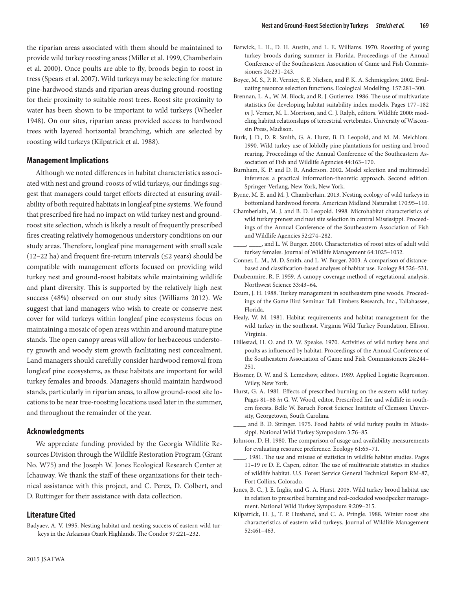the riparian areas associated with them should be maintained to provide wild turkey roosting areas (Miller et al. 1999, Chamberlain et al. 2000). Once poults are able to fly, broods begin to roost in tress (Spears et al. 2007). Wild turkeys may be selecting for mature pine-hardwood stands and riparian areas during ground-roosting for their proximity to suitable roost trees. Roost site proximity to water has been shown to be important to wild turkeys (Wheeler 1948). On our sites, riparian areas provided access to hardwood trees with layered horizontal branching, which are selected by roosting wild turkeys (Kilpatrick et al. 1988).

#### **Management Implications**

Although we noted differences in habitat characteristics associated with nest and ground-roosts of wild turkeys, our findings suggest that managers could target efforts directed at ensuring availability of both required habitats in longleaf pine systems. We found that prescribed fire had no impact on wild turkey nest and groundroost site selection, which is likely a result of frequently prescribed fires creating relatively homogenous understory conditions on our study areas. Therefore, longleaf pine management with small scale (12–22 ha) and frequent fire-return intervals ( $\leq$ 2 years) should be compatible with management efforts focused on providing wild turkey nest and ground-roost habitats while maintaining wildlife and plant diversity. This is supported by the relatively high nest success (48%) observed on our study sites (Williams 2012). We suggest that land managers who wish to create or conserve nest cover for wild turkeys within longleaf pine ecosystems focus on maintaining a mosaic of open areas within and around mature pine stands. The open canopy areas will allow for herbaceous understory growth and woody stem growth facilitating nest concealment. Land managers should carefully consider hardwood removal from longleaf pine ecosystems, as these habitats are important for wild turkey females and broods. Managers should maintain hardwood stands, particularly in riparian areas, to allow ground-roost site locations to be near tree-roosting locations used later in the summer, and throughout the remainder of the year.

## **Acknowledgments**

We appreciate funding provided by the Georgia Wildlife Resources Division through the Wildlife Restoration Program (Grant No. W75) and the Joseph W. Jones Ecological Research Center at Ichauway. We thank the staff of these organizations for their technical assistance with this project, and C. Perez, D. Colbert, and D. Ruttinger for their assistance with data collection.

#### **Literature Cited**

Badyaev, A. V. 1995. Nesting habitat and nesting success of eastern wild turkeys in the Arkansas Ozark Highlands. The Condor 97:221–232.

- Barwick, L. H., D. H. Austin, and L. E. Williams. 1970. Roosting of young turkey broods during summer in Florida. Proceedings of the Annual Conference of the Southeastern Association of Game and Fish Commissioners 24:231–243.
- Boyce, M. S., P. R. Vernier, S. E. Nielsen, and F. K. A. Schmiegelow. 2002. Evaluating resource selection functions. Ecological Modelling. 157:281–300.
- Brennan, L. A., W. M. Block, and R. J. Gutierrez. 1986. The use of multivariate statistics for developing habitat suitability index models. Pages 177–182 *in* J. Verner, M. L. Morrison, and C. J. Ralph, editors. Wildlife 2000: modeling habitat relationships of terrestrial vertebrates. University of Wisconsin Press, Madison.
- Burk, J. D., D. R. Smith, G. A. Hurst, B. D. Leopold, and M. M. Melchiors. 1990. Wild turkey use of loblolly pine plantations for nesting and brood rearing. Proceedings of the Annual Conference of the Southeastern Association of Fish and Wildlife Agencies 44:163–170.
- Burnham, K. P. and D. R. Anderson. 2002. Model selection and multimodel inference: a practical information-theoretic approach. Second edition. Springer-Verlang, New York, New York.
- Byrne, M. E. and M. J. Chamberlain. 2013. Nesting ecology of wild turkeys in bottomland hardwood forests. American Midland Naturalist 170:95–110.
- Chamberlain, M. J. and B. D. Leopold. 1998. Microhabitat characteristics of wild turkey prenest and nest site selection in central Mississippi. Proceedings of the Annual Conference of the Southeastern Association of Fish and Wildlife Agencies 52:274–282.
- \_, and L. W. Burger. 2000. Characteristics of roost sites of adult wild turkey females. Journal of Wildlife Management 64:1025–1032.
- Conner, L. M., M. D. Smith, and L. W. Burger. 2003. A comparison of distancebased and classification-based analyses of habitat use. Ecology 84:526–531.
- Daubenmire, R. F. 1959. A canopy coverage method of vegetational analysis. Northwest Science 33:43–64.
- Exum, J. H. 1988. Turkey management in southeastern pine woods. Proceedings of the Game Bird Seminar. Tall Timbers Research, Inc., Tallahassee, Florida.
- Healy, W. M. 1981. Habitat requirements and habitat management for the wild turkey in the southeast. Virginia Wild Turkey Foundation, Ellison, Virginia.
- Hillestad, H. O. and D. W. Speake. 1970. Activities of wild turkey hens and poults as influenced by habitat. Proceedings of the Annual Conference of the Southeastern Association of Game and Fish Commissioners 24:244– 251.
- Hosmer, D. W. and S. Lemeshow, editors. 1989. Applied Logistic Regression. Wiley, New York.
- Hurst, G. A. 1981. Effects of prescribed burning on the eastern wild turkey. Pages 81–88 *in* G. W. Wood, editor. Prescribed fire and wildlife in southern forests. Belle W. Baruch Forest Science Institute of Clemson University, Georgetown, South Carolina.
- and B. D. Stringer. 1975. Food habits of wild turkey poults in Mississippi. National Wild Turkey Symposium 3:76–85.
- Johnson, D. H. 1980. The comparison of usage and availability measurements for evaluating resource preference. Ecology 61:65–71.
- \_\_\_\_. 1981. The use and misuse of statistics in wildlife habitat studies. Pages 11–19 *in* D. E. Capen, editor. The use of multivariate statistics in studies of wildlife habitat. U.S. Forest Service General Technical Report RM-87, Fort Collins, Colorado.
- Jones, B. C., J. E. Inglis, and G. A. Hurst. 2005. Wild turkey brood habitat use in relation to prescribed burning and red-cockaded woodpecker management. National Wild Turkey Symposium 9:209–215.
- Kilpatrick, H. J., T. P. Husband, and C. A. Pringle. 1988. Winter roost site characteristics of eastern wild turkeys. Journal of Wildlife Management 52:461–463.